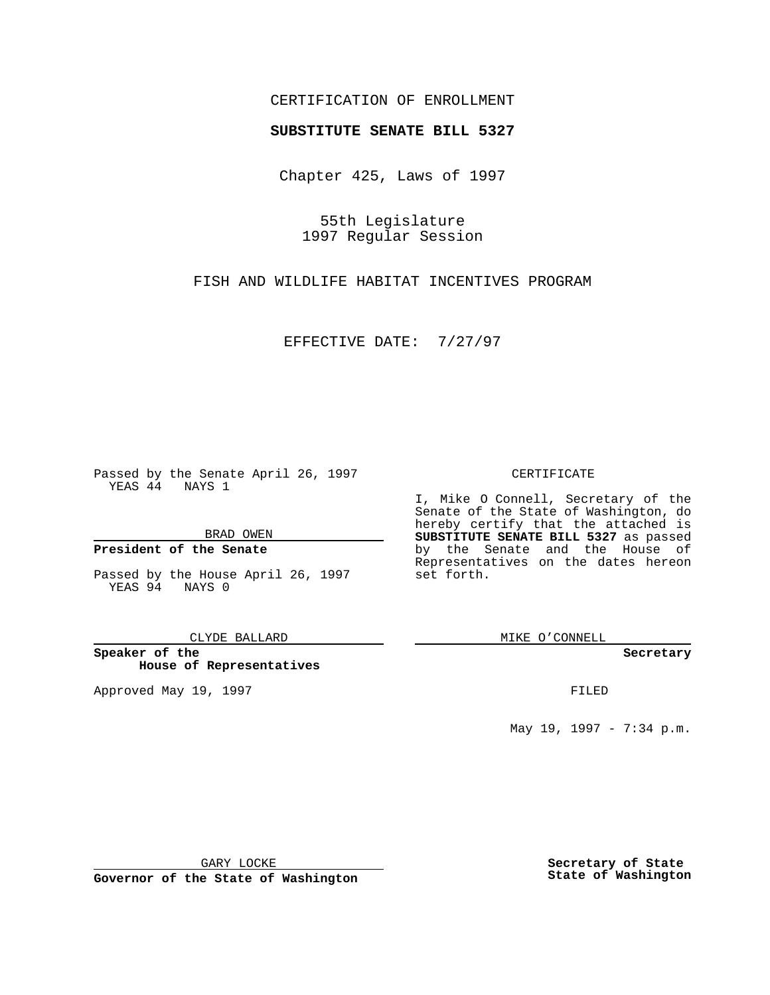### CERTIFICATION OF ENROLLMENT

# **SUBSTITUTE SENATE BILL 5327**

Chapter 425, Laws of 1997

55th Legislature 1997 Regular Session

FISH AND WILDLIFE HABITAT INCENTIVES PROGRAM

EFFECTIVE DATE: 7/27/97

Passed by the Senate April 26, 1997 YEAS 44 NAYS 1

BRAD OWEN

### **President of the Senate**

Passed by the House April 26, 1997 YEAS 94 NAYS 0

CLYDE BALLARD

**Speaker of the House of Representatives**

Approved May 19, 1997 **FILED** 

### CERTIFICATE

I, Mike O Connell, Secretary of the Senate of the State of Washington, do hereby certify that the attached is **SUBSTITUTE SENATE BILL 5327** as passed by the Senate and the House of Representatives on the dates hereon set forth.

MIKE O'CONNELL

#### **Secretary**

May 19, 1997 - 7:34 p.m.

GARY LOCKE

**Governor of the State of Washington**

**Secretary of State State of Washington**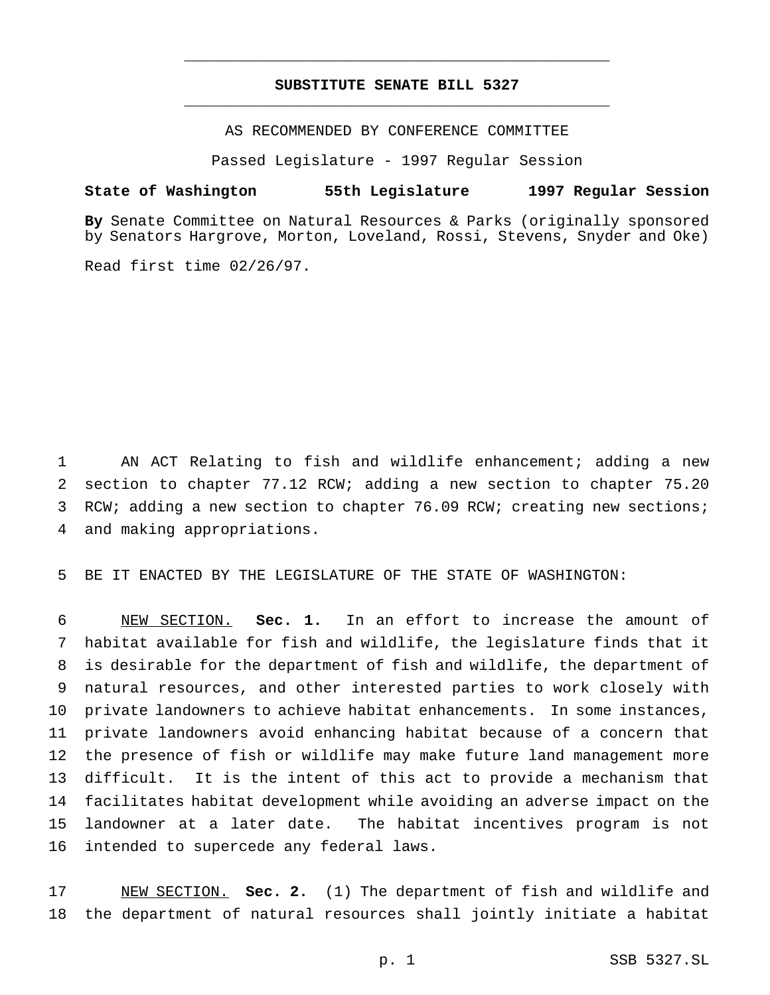### **SUBSTITUTE SENATE BILL 5327** \_\_\_\_\_\_\_\_\_\_\_\_\_\_\_\_\_\_\_\_\_\_\_\_\_\_\_\_\_\_\_\_\_\_\_\_\_\_\_\_\_\_\_\_\_\_\_

\_\_\_\_\_\_\_\_\_\_\_\_\_\_\_\_\_\_\_\_\_\_\_\_\_\_\_\_\_\_\_\_\_\_\_\_\_\_\_\_\_\_\_\_\_\_\_

AS RECOMMENDED BY CONFERENCE COMMITTEE

Passed Legislature - 1997 Regular Session

## **State of Washington 55th Legislature 1997 Regular Session**

**By** Senate Committee on Natural Resources & Parks (originally sponsored by Senators Hargrove, Morton, Loveland, Rossi, Stevens, Snyder and Oke)

Read first time 02/26/97.

 AN ACT Relating to fish and wildlife enhancement; adding a new section to chapter 77.12 RCW; adding a new section to chapter 75.20 RCW; adding a new section to chapter 76.09 RCW; creating new sections; and making appropriations.

BE IT ENACTED BY THE LEGISLATURE OF THE STATE OF WASHINGTON:

 NEW SECTION. **Sec. 1.** In an effort to increase the amount of habitat available for fish and wildlife, the legislature finds that it is desirable for the department of fish and wildlife, the department of natural resources, and other interested parties to work closely with private landowners to achieve habitat enhancements. In some instances, private landowners avoid enhancing habitat because of a concern that the presence of fish or wildlife may make future land management more difficult. It is the intent of this act to provide a mechanism that facilitates habitat development while avoiding an adverse impact on the landowner at a later date. The habitat incentives program is not intended to supercede any federal laws.

 NEW SECTION. **Sec. 2.** (1) The department of fish and wildlife and the department of natural resources shall jointly initiate a habitat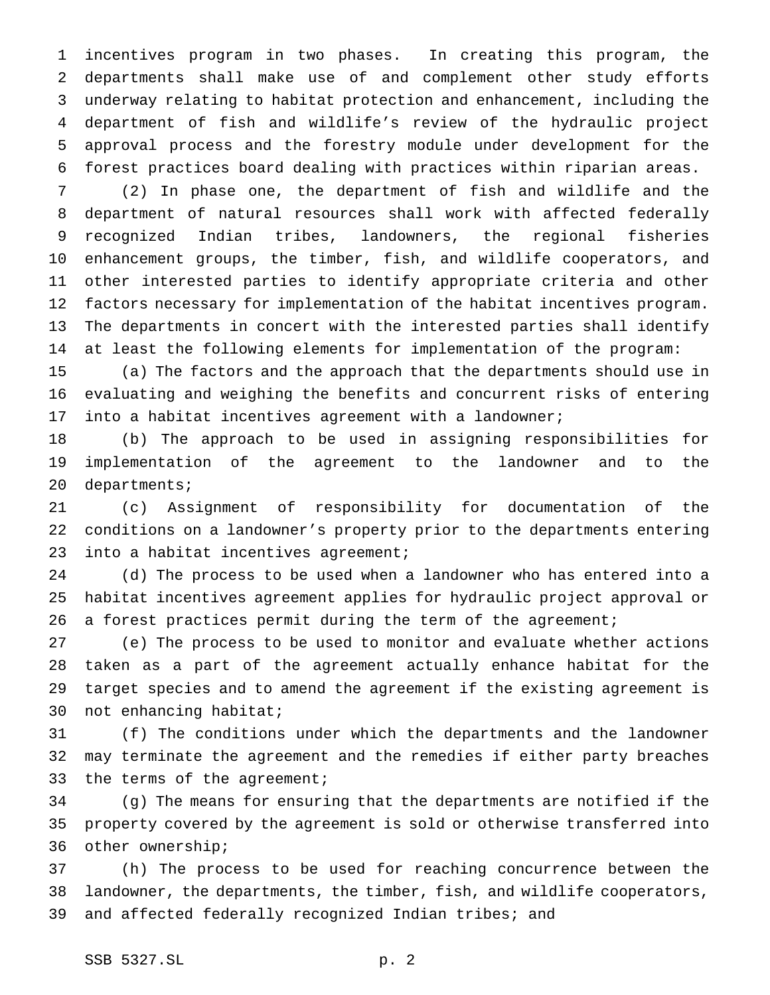incentives program in two phases. In creating this program, the departments shall make use of and complement other study efforts underway relating to habitat protection and enhancement, including the department of fish and wildlife's review of the hydraulic project approval process and the forestry module under development for the forest practices board dealing with practices within riparian areas.

 (2) In phase one, the department of fish and wildlife and the department of natural resources shall work with affected federally recognized Indian tribes, landowners, the regional fisheries enhancement groups, the timber, fish, and wildlife cooperators, and other interested parties to identify appropriate criteria and other factors necessary for implementation of the habitat incentives program. The departments in concert with the interested parties shall identify at least the following elements for implementation of the program:

 (a) The factors and the approach that the departments should use in evaluating and weighing the benefits and concurrent risks of entering into a habitat incentives agreement with a landowner;

 (b) The approach to be used in assigning responsibilities for implementation of the agreement to the landowner and to the departments;

 (c) Assignment of responsibility for documentation of the conditions on a landowner's property prior to the departments entering 23 into a habitat incentives agreement;

 (d) The process to be used when a landowner who has entered into a habitat incentives agreement applies for hydraulic project approval or 26 a forest practices permit during the term of the agreement;

 (e) The process to be used to monitor and evaluate whether actions taken as a part of the agreement actually enhance habitat for the target species and to amend the agreement if the existing agreement is not enhancing habitat;

 (f) The conditions under which the departments and the landowner may terminate the agreement and the remedies if either party breaches 33 the terms of the agreement;

 (g) The means for ensuring that the departments are notified if the property covered by the agreement is sold or otherwise transferred into other ownership;

 (h) The process to be used for reaching concurrence between the landowner, the departments, the timber, fish, and wildlife cooperators, and affected federally recognized Indian tribes; and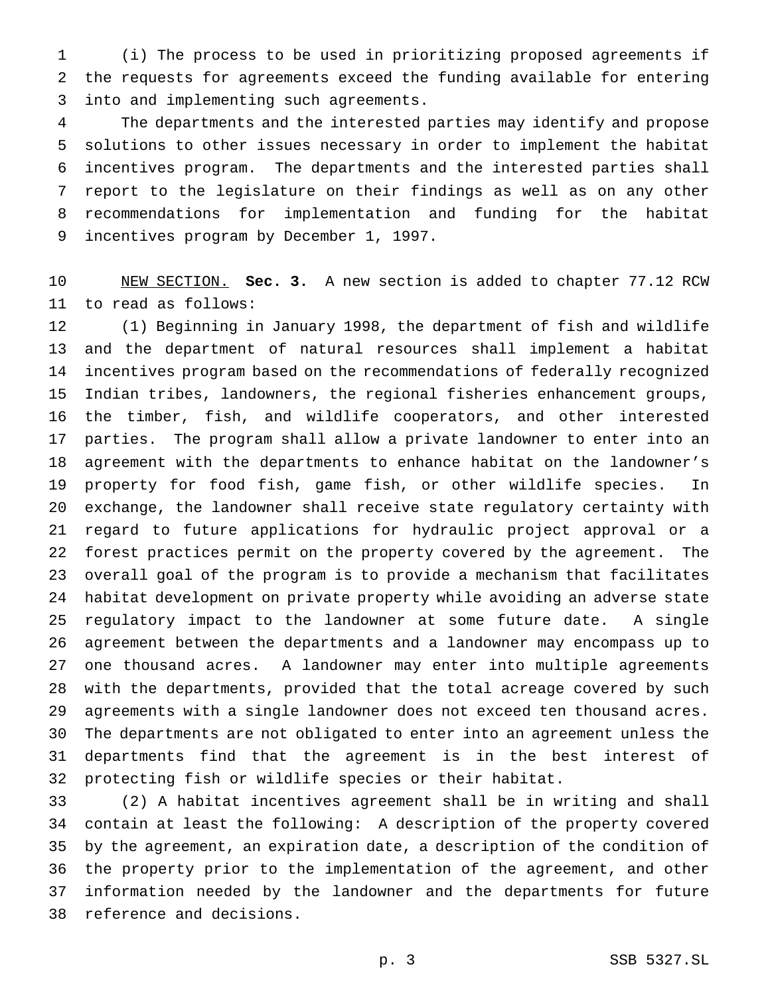(i) The process to be used in prioritizing proposed agreements if the requests for agreements exceed the funding available for entering into and implementing such agreements.

 The departments and the interested parties may identify and propose solutions to other issues necessary in order to implement the habitat incentives program. The departments and the interested parties shall report to the legislature on their findings as well as on any other recommendations for implementation and funding for the habitat incentives program by December 1, 1997.

 NEW SECTION. **Sec. 3.** A new section is added to chapter 77.12 RCW to read as follows:

 (1) Beginning in January 1998, the department of fish and wildlife and the department of natural resources shall implement a habitat incentives program based on the recommendations of federally recognized Indian tribes, landowners, the regional fisheries enhancement groups, the timber, fish, and wildlife cooperators, and other interested parties. The program shall allow a private landowner to enter into an agreement with the departments to enhance habitat on the landowner's property for food fish, game fish, or other wildlife species. In exchange, the landowner shall receive state regulatory certainty with regard to future applications for hydraulic project approval or a forest practices permit on the property covered by the agreement. The overall goal of the program is to provide a mechanism that facilitates habitat development on private property while avoiding an adverse state regulatory impact to the landowner at some future date. A single agreement between the departments and a landowner may encompass up to one thousand acres. A landowner may enter into multiple agreements with the departments, provided that the total acreage covered by such agreements with a single landowner does not exceed ten thousand acres. The departments are not obligated to enter into an agreement unless the departments find that the agreement is in the best interest of protecting fish or wildlife species or their habitat.

 (2) A habitat incentives agreement shall be in writing and shall contain at least the following: A description of the property covered by the agreement, an expiration date, a description of the condition of the property prior to the implementation of the agreement, and other information needed by the landowner and the departments for future reference and decisions.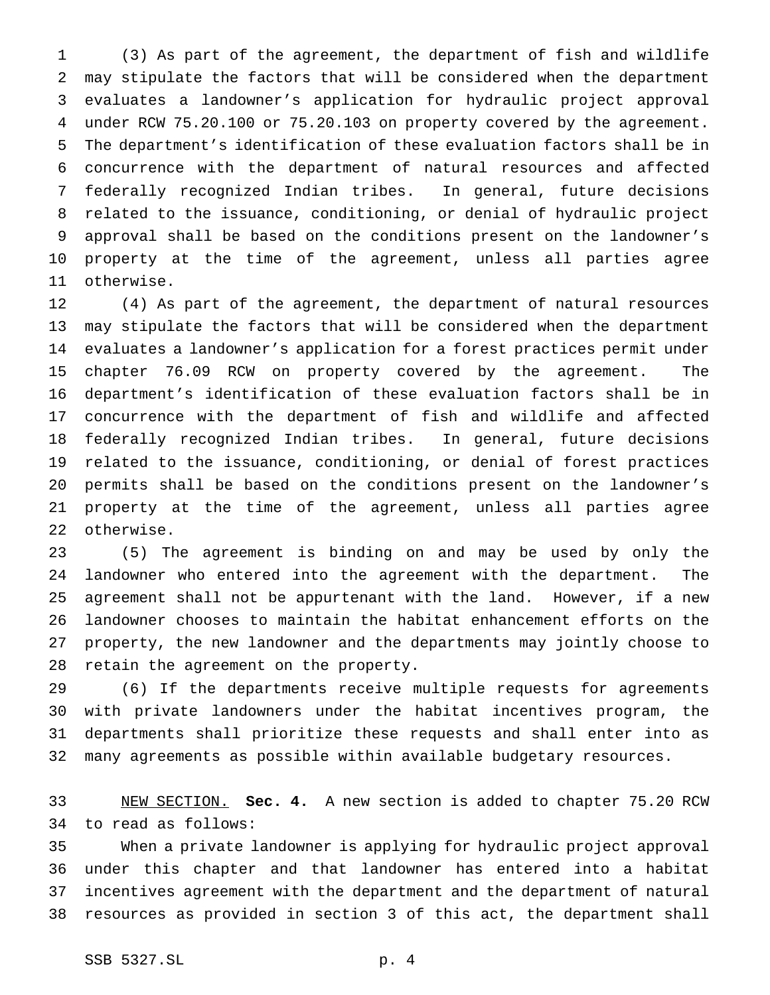(3) As part of the agreement, the department of fish and wildlife may stipulate the factors that will be considered when the department evaluates a landowner's application for hydraulic project approval under RCW 75.20.100 or 75.20.103 on property covered by the agreement. The department's identification of these evaluation factors shall be in concurrence with the department of natural resources and affected federally recognized Indian tribes. In general, future decisions related to the issuance, conditioning, or denial of hydraulic project approval shall be based on the conditions present on the landowner's property at the time of the agreement, unless all parties agree otherwise.

 (4) As part of the agreement, the department of natural resources may stipulate the factors that will be considered when the department evaluates a landowner's application for a forest practices permit under chapter 76.09 RCW on property covered by the agreement. The department's identification of these evaluation factors shall be in concurrence with the department of fish and wildlife and affected federally recognized Indian tribes. In general, future decisions related to the issuance, conditioning, or denial of forest practices permits shall be based on the conditions present on the landowner's property at the time of the agreement, unless all parties agree otherwise.

 (5) The agreement is binding on and may be used by only the landowner who entered into the agreement with the department. The agreement shall not be appurtenant with the land. However, if a new landowner chooses to maintain the habitat enhancement efforts on the property, the new landowner and the departments may jointly choose to retain the agreement on the property.

 (6) If the departments receive multiple requests for agreements with private landowners under the habitat incentives program, the departments shall prioritize these requests and shall enter into as many agreements as possible within available budgetary resources.

 NEW SECTION. **Sec. 4.** A new section is added to chapter 75.20 RCW to read as follows:

 When a private landowner is applying for hydraulic project approval under this chapter and that landowner has entered into a habitat incentives agreement with the department and the department of natural resources as provided in section 3 of this act, the department shall